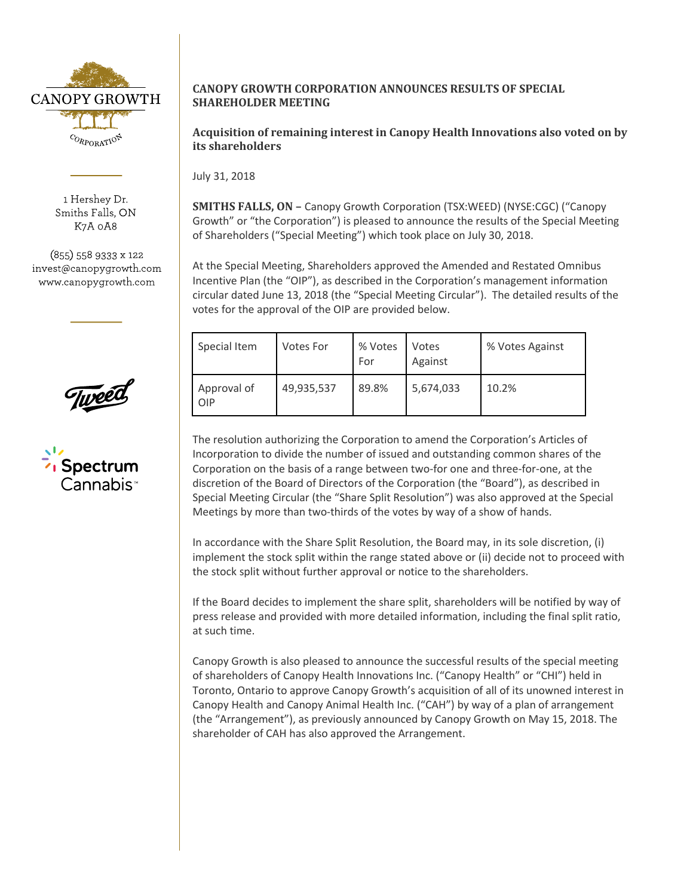

1 Hershey Dr. Smiths Falls, ON K7A 0A8

(855) 558 9333 x 122 invest@canopygrowth.com www.canopygrowth.com





## **CANOPY GROWTH CORPORATION ANNOUNCES RESULTS OF SPECIAL SHAREHOLDER MEETING**

**Acquisition of remaining interest in Canopy Health Innovations also voted on by its shareholders**

July 31, 2018

**SMITHS FALLS, ON –** Canopy Growth Corporation (TSX:WEED) (NYSE:CGC) ("Canopy Growth" or "the Corporation") is pleased to announce the results of the Special Meeting of Shareholders ("Special Meeting") which took place on July 30, 2018.

At the Special Meeting, Shareholders approved the Amended and Restated Omnibus Incentive Plan (the "OIP"), as described in the Corporation's management information circular dated June 13, 2018 (the "Special Meeting Circular"). The detailed results of the votes for the approval of the OIP are provided below.

| Special Item       | <b>Votes For</b> | % Votes<br>For | Votes<br>Against | % Votes Against |
|--------------------|------------------|----------------|------------------|-----------------|
| Approval of<br>OIP | 49,935,537       | 89.8%          | 5,674,033        | 10.2%           |

The resolution authorizing the Corporation to amend the Corporation's Articles of Incorporation to divide the number of issued and outstanding common shares of the Corporation on the basis of a range between two-for one and three-for-one, at the discretion of the Board of Directors of the Corporation (the "Board"), as described in Special Meeting Circular (the "Share Split Resolution") was also approved at the Special Meetings by more than two-thirds of the votes by way of a show of hands.

In accordance with the Share Split Resolution, the Board may, in its sole discretion, (i) implement the stock split within the range stated above or (ii) decide not to proceed with the stock split without further approval or notice to the shareholders.

If the Board decides to implement the share split, shareholders will be notified by way of press release and provided with more detailed information, including the final split ratio, at such time.

Canopy Growth is also pleased to announce the successful results of the special meeting of shareholders of Canopy Health Innovations Inc. ("Canopy Health" or "CHI") held in Toronto, Ontario to approve Canopy Growth's acquisition of all of its unowned interest in Canopy Health and Canopy Animal Health Inc. ("CAH") by way of a plan of arrangement (the "Arrangement"), as previously announced by Canopy Growth on May 15, 2018. The shareholder of CAH has also approved the Arrangement.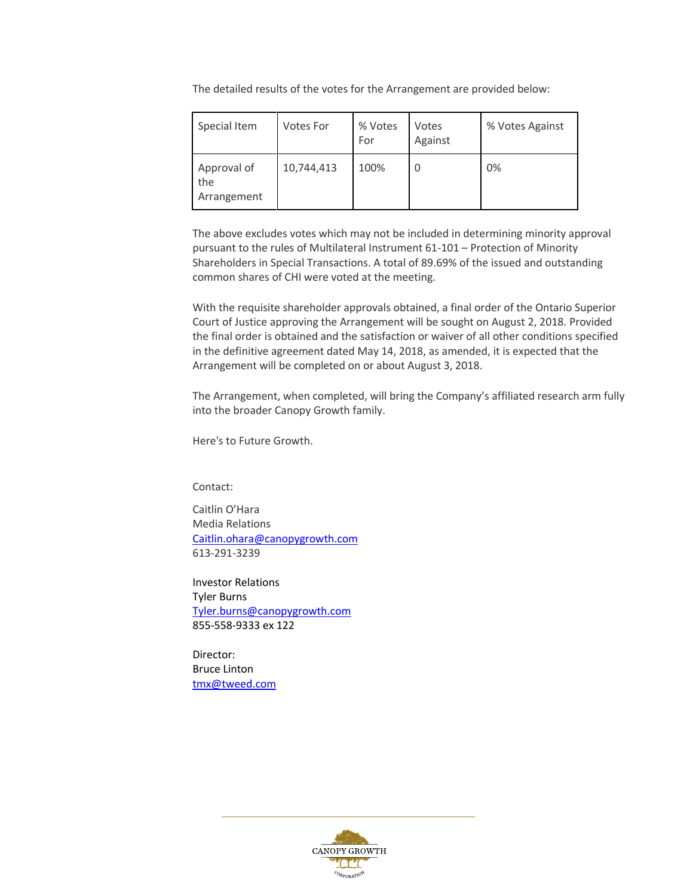The detailed results of the votes for the Arrangement are provided below:

| Special Item                      | Votes For  | % Votes<br>For | Votes<br>Against | % Votes Against |
|-----------------------------------|------------|----------------|------------------|-----------------|
| Approval of<br>the<br>Arrangement | 10,744,413 | 100%           |                  | 0%              |

The above excludes votes which may not be included in determining minority approval pursuant to the rules of Multilateral Instrument 61-101 – Protection of Minority Shareholders in Special Transactions. A total of 89.69% of the issued and outstanding common shares of CHI were voted at the meeting.

With the requisite shareholder approvals obtained, a final order of the Ontario Superior Court of Justice approving the Arrangement will be sought on August 2, 2018. Provided the final order is obtained and the satisfaction or waiver of all other conditions specified in the definitive agreement dated May 14, 2018, as amended, it is expected that the Arrangement will be completed on or about August 3, 2018.

The Arrangement, when completed, will bring the Company's affiliated research arm fully into the broader Canopy Growth family.

Here's to Future Growth.

Contact:

Caitlin O'Hara Media Relations [Caitlin.ohara@canopygrowth.com](mailto:Caitlin.ohara@canopygrowth.com) 613-291-3239

Investor Relations Tyler Burns [Tyler.burns@canopygrowth.com](mailto:Tyler.burns@canopygrowth.com) 855-558-9333 ex 122

Director: Bruce Linton [tmx@tweed.com](mailto:tmx@tweed.com)